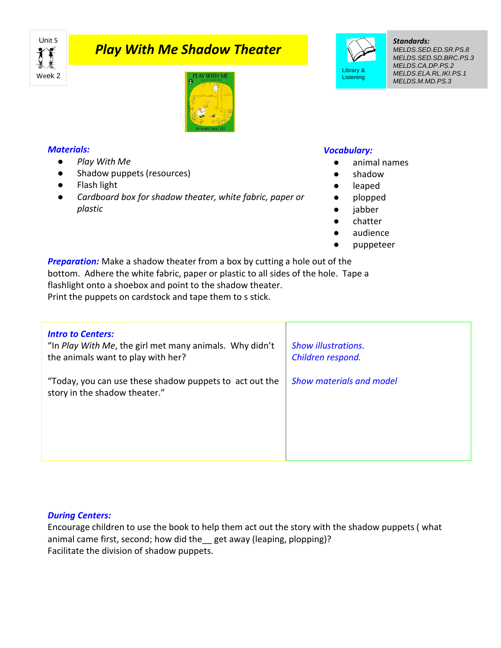

# *Play With Me Shadow Theater*



#### *Materials:*

- *Play With Me*
- Shadow puppets (resources)
- Flash light
- *Cardboard box for shadow theater, white fabric, paper or plastic*

## *Vocabulary:*

Library & **Listening** 

- animal names
- shadow
- leaped
- plopped
- jabber
- chatter
- audience
- puppeteer

**Preparation:** Make a shadow theater from a box by cutting a hole out of the bottom. Adhere the white fabric, paper or plastic to all sides of the hole. Tape a flashlight onto a shoebox and point to the shadow theater. Print the puppets on cardstock and tape them to s stick.

| <b>Intro to Centers:</b><br>"In Play With Me, the girl met many animals. Why didn't<br>the animals want to play with her? | <b>Show illustrations.</b><br>Children respond. |
|---------------------------------------------------------------------------------------------------------------------------|-------------------------------------------------|
| "Today, you can use these shadow puppets to act out the<br>story in the shadow theater."                                  | <b>Show materials and model</b>                 |

### *During Centers:*

Encourage children to use the book to help them act out the story with the shadow puppets ( what animal came first, second; how did the\_\_ get away (leaping, plopping)? Facilitate the division of shadow puppets.

#### *Standards:*

*MELDS.SED.ED.SR.PS.8 MELDS.SED.SD.BRC.PS.3 MELDS.CA.DP.PS.2 MELDS.ELA.RL.IKI.PS.1 MELDS.M.MD.PS.3*